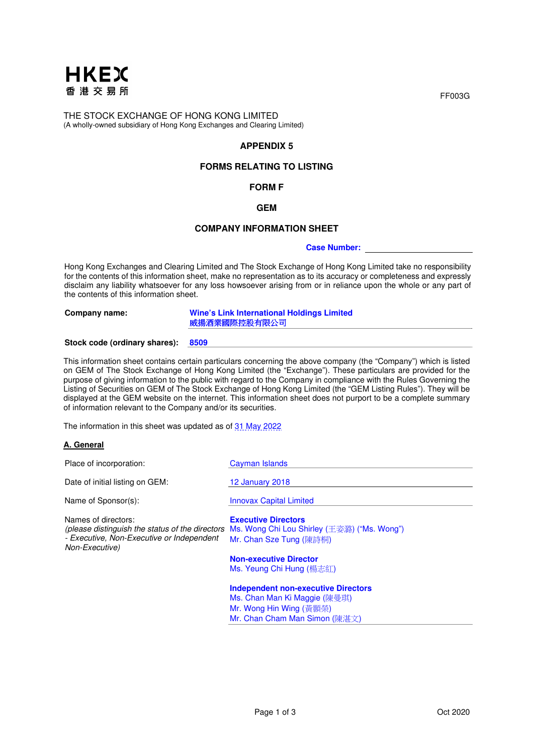

THE STOCK EXCHANGE OF HONG KONG LIMITED (A wholly-owned subsidiary of Hong Kong Exchanges and Clearing Limited)

# **APPENDIX 5**

# **FORMS RELATING TO LISTING**

# **FORM F**

## **GEM**

#### **COMPANY INFORMATION SHEET**

#### **Case Number:**

Hong Kong Exchanges and Clearing Limited and The Stock Exchange of Hong Kong Limited take no responsibility for the contents of this information sheet, make no representation as to its accuracy or completeness and expressly disclaim any liability whatsoever for any loss howsoever arising from or in reliance upon the whole or any part of the contents of this information sheet.

**Company name: Wine's Link International Holdings Limited**  威揚酒業國際控股有限公司

#### **Stock code (ordinary shares): 8509**

This information sheet contains certain particulars concerning the above company (the "Company") which is listed on GEM of The Stock Exchange of Hong Kong Limited (the "Exchange"). These particulars are provided for the purpose of giving information to the public with regard to the Company in compliance with the Rules Governing the Listing of Securities on GEM of The Stock Exchange of Hong Kong Limited (the "GEM Listing Rules"). They will be displayed at the GEM website on the internet. This information sheet does not purport to be a complete summary of information relevant to the Company and/or its securities.

The information in this sheet was updated as of 31 May 2022

## **A. General**

| Place of incorporation:                                                            | Cayman Islands                                                                                                                                       |
|------------------------------------------------------------------------------------|------------------------------------------------------------------------------------------------------------------------------------------------------|
| Date of initial listing on GEM:                                                    | <b>12 January 2018</b>                                                                                                                               |
| Name of Sponsor(s):                                                                | <b>Innovax Capital Limited</b>                                                                                                                       |
| Names of directors:<br>- Executive, Non-Executive or Independent<br>Non-Executive) | <b>Executive Directors</b><br>(please distinguish the status of the directors Ms. Wong Chi Lou Shirley (王姿潞) ("Ms. Wong")<br>Mr. Chan Sze Tung (陳詩桐) |
|                                                                                    | <b>Non-executive Director</b><br>Ms. Yeung Chi Hung (楊志紅)                                                                                            |
|                                                                                    | <b>Independent non-executive Directors</b><br>Ms. Chan Man Ki Maggie (陳曼琪)                                                                           |

Mr. Wong Hin Wing (黃顥榮) Mr. Chan Cham Man Simon (陳湛文) FF003G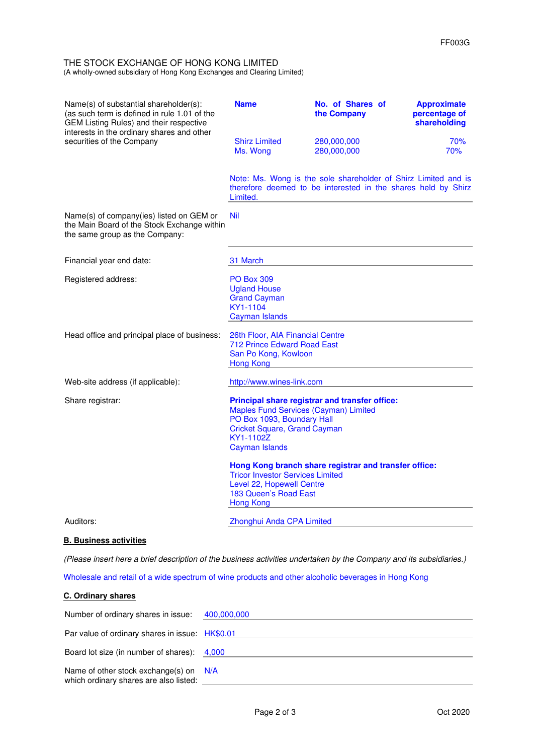#### THE STOCK EXCHANGE OF HONG KONG LIMITED (A wholly-owned subsidiary of Hong Kong Exchanges and Clearing Limited)

| Name(s) of substantial shareholder(s):<br>(as such term is defined in rule 1.01 of the<br>GEM Listing Rules) and their respective<br>interests in the ordinary shares and other<br>securities of the Company | <b>Name</b>                                                                                                                                      | No. of Shares of<br>the Company                                                                                                 | <b>Approximate</b><br>percentage of<br>shareholding |
|--------------------------------------------------------------------------------------------------------------------------------------------------------------------------------------------------------------|--------------------------------------------------------------------------------------------------------------------------------------------------|---------------------------------------------------------------------------------------------------------------------------------|-----------------------------------------------------|
|                                                                                                                                                                                                              | <b>Shirz Limited</b><br>Ms. Wong                                                                                                                 | 280,000,000<br>280,000,000                                                                                                      | 70%<br>70%                                          |
|                                                                                                                                                                                                              | Limited.                                                                                                                                         | Note: Ms. Wong is the sole shareholder of Shirz Limited and is<br>therefore deemed to be interested in the shares held by Shirz |                                                     |
| Name(s) of company(ies) listed on GEM or<br>the Main Board of the Stock Exchange within<br>the same group as the Company:                                                                                    | <b>Nil</b>                                                                                                                                       |                                                                                                                                 |                                                     |
| Financial year end date:                                                                                                                                                                                     | 31 March                                                                                                                                         |                                                                                                                                 |                                                     |
| Registered address:                                                                                                                                                                                          | <b>PO Box 309</b><br><b>Ugland House</b><br><b>Grand Cayman</b><br>KY1-1104<br><b>Cayman Islands</b>                                             |                                                                                                                                 |                                                     |
| Head office and principal place of business:                                                                                                                                                                 | 26th Floor, AIA Financial Centre<br>712 Prince Edward Road East<br>San Po Kong, Kowloon<br><b>Hong Kong</b>                                      |                                                                                                                                 |                                                     |
| Web-site address (if applicable):                                                                                                                                                                            | http://www.wines-link.com                                                                                                                        |                                                                                                                                 |                                                     |
| Share registrar:                                                                                                                                                                                             | Maples Fund Services (Cayman) Limited<br>PO Box 1093, Boundary Hall<br><b>Cricket Square, Grand Cayman</b><br>KY1-1102Z<br><b>Cayman Islands</b> | Principal share registrar and transfer office:                                                                                  |                                                     |
|                                                                                                                                                                                                              | <b>Tricor Investor Services Limited</b><br>Level 22, Hopewell Centre<br>183 Queen's Road East<br><b>Hong Kong</b>                                | Hong Kong branch share registrar and transfer office:                                                                           |                                                     |
| Auditors:                                                                                                                                                                                                    | Zhonghui Anda CPA Limited                                                                                                                        |                                                                                                                                 |                                                     |

# **B. Business activities**

(Please insert here a brief description of the business activities undertaken by the Company and its subsidiaries.)

Wholesale and retail of a wide spectrum of wine products and other alcoholic beverages in Hong Kong

#### **C. Ordinary shares**

| Number of ordinary shares in issue: 400,000,000                                    |  |
|------------------------------------------------------------------------------------|--|
| Par value of ordinary shares in issue: HK\$0.01                                    |  |
| Board lot size (in number of shares): 4,000                                        |  |
| Name of other stock exchange(s) on $N/A$<br>which ordinary shares are also listed: |  |